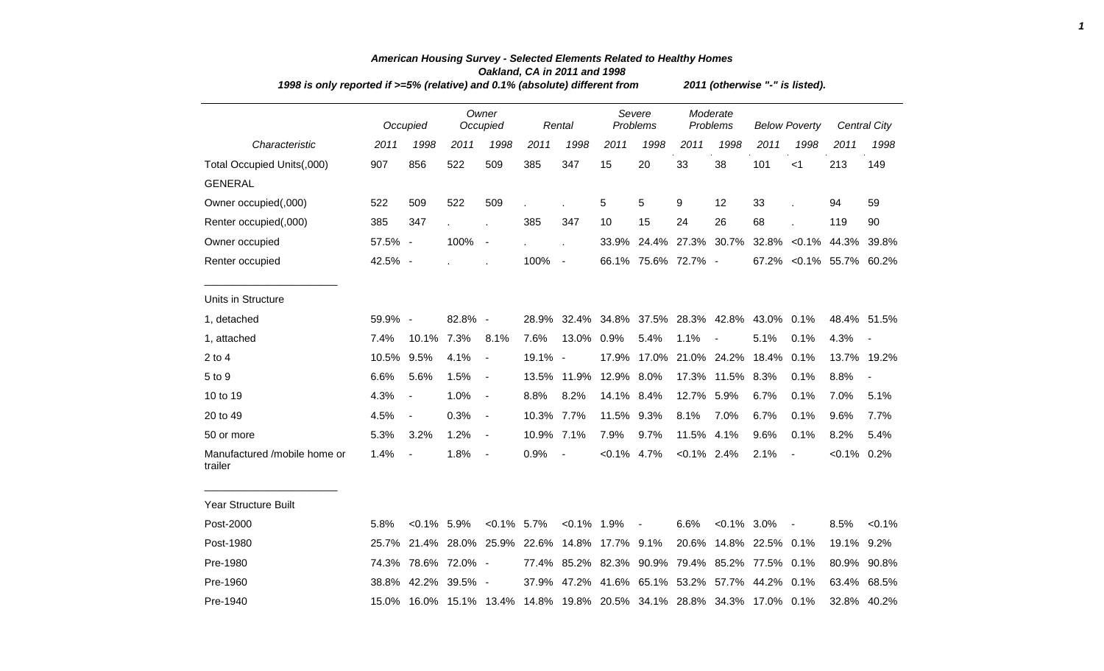| 1998 is only reported if >=5% (relative) and 0.1% (absolute) different from |         |                               |            |                   |         |                          |                |                               |                      | 2011 (otherwise "-" is listed). |                                                                        |                          |                          |                              |  |  |  |  |
|-----------------------------------------------------------------------------|---------|-------------------------------|------------|-------------------|---------|--------------------------|----------------|-------------------------------|----------------------|---------------------------------|------------------------------------------------------------------------|--------------------------|--------------------------|------------------------------|--|--|--|--|
|                                                                             |         | Occupied                      |            | Owner<br>Occupied |         | Rental                   |                | Severe<br>Problems            | Moderate<br>Problems |                                 | <b>Below Poverty</b>                                                   |                          |                          | <b>Central City</b>          |  |  |  |  |
| Characteristic                                                              | 2011    | 1998                          | 2011       | 1998              | 2011    | 1998                     | 2011           | 1998                          | 2011                 | 1998                            | 2011                                                                   | 1998                     | 2011                     | 1998                         |  |  |  |  |
| Total Occupied Units(,000)                                                  | 907     | 856                           | 522        | 509               | 385     | 347                      | 15             | 20                            | 33                   | 38                              | 101                                                                    | $<$ 1                    | 213                      | 149                          |  |  |  |  |
| <b>GENERAL</b>                                                              |         |                               |            |                   |         |                          |                |                               |                      |                                 |                                                                        |                          |                          |                              |  |  |  |  |
| Owner occupied(,000)                                                        | 522     | 509                           | 522        | 509               |         |                          | 5              | 5                             | 9                    | 12                              | 33                                                                     |                          | 94                       | 59                           |  |  |  |  |
| Renter occupied(,000)                                                       | 385     | 347                           |            |                   | 385     | 347                      | 10             | 15                            | 24                   | 26                              | 68                                                                     |                          | 119                      | 90                           |  |  |  |  |
| Owner occupied                                                              | 57.5% - |                               | 100%       | $\blacksquare$    |         |                          | 33.9%          |                               | 24.4% 27.3%          | 30.7%                           |                                                                        |                          | 32.8% < 0.1% 44.3% 39.8% |                              |  |  |  |  |
| Renter occupied                                                             | 42.5% - |                               |            |                   | 100%    | $\sim$                   |                | 66.1% 75.6% 72.7% -           |                      |                                 |                                                                        |                          | 67.2% < 0.1% 55.7% 60.2% |                              |  |  |  |  |
| Units in Structure                                                          |         |                               |            |                   |         |                          |                |                               |                      |                                 |                                                                        |                          |                          |                              |  |  |  |  |
| 1, detached                                                                 | 59.9% - |                               | 82.8% -    |                   | 28.9%   |                          |                | 32.4% 34.8% 37.5% 28.3% 42.8% |                      |                                 | 43.0%                                                                  | 0.1%                     |                          | 48.4% 51.5%                  |  |  |  |  |
| 1, attached                                                                 | 7.4%    | 10.1%                         | 7.3%       | 8.1%              | 7.6%    | 13.0%                    | 0.9%           | 5.4%                          | 1.1%                 | $\overline{\phantom{a}}$        | 5.1%                                                                   | 0.1%                     | 4.3%                     |                              |  |  |  |  |
| $2$ to $4$                                                                  | 10.5%   | 9.5%                          | 4.1%       | $\blacksquare$    | 19.1% - |                          | 17.9%          |                               | 17.0% 21.0% 24.2%    |                                 | 18.4%                                                                  | 0.1%                     | 13.7%                    | 19.2%                        |  |  |  |  |
| 5 to 9                                                                      | 6.6%    | 5.6%                          | 1.5%       | $\blacksquare$    | 13.5%   | 11.9%                    | 12.9%          | 8.0%                          | 17.3%                | 11.5%                           | 8.3%                                                                   | 0.1%                     | 8.8%                     | $\qquad \qquad \blacksquare$ |  |  |  |  |
| 10 to 19                                                                    | 4.3%    | $\overline{\phantom{a}}$      | 1.0%       | $\blacksquare$    | 8.8%    | 8.2%                     | 14.1% 8.4%     |                               | 12.7% 5.9%           |                                 | 6.7%                                                                   | 0.1%                     | 7.0%                     | 5.1%                         |  |  |  |  |
| 20 to 49                                                                    | 4.5%    | $\overline{\phantom{a}}$      | 0.3%       | $\blacksquare$    | 10.3%   | 7.7%                     | 11.5%          | 9.3%                          | 8.1%                 | 7.0%                            | 6.7%                                                                   | 0.1%                     | 9.6%                     | 7.7%                         |  |  |  |  |
| 50 or more                                                                  | 5.3%    | 3.2%                          | 1.2%       | $\blacksquare$    | 10.9%   | 7.1%                     | 7.9%           | 9.7%                          | 11.5%                | 4.1%                            | 9.6%                                                                   | 0.1%                     | 8.2%                     | 5.4%                         |  |  |  |  |
| Manufactured /mobile home or<br>trailer                                     | 1.4%    | $\overline{\phantom{a}}$      | 1.8%       | $\blacksquare$    | 0.9%    | $\overline{\phantom{a}}$ | $< 0.1\%$ 4.7% |                               | $< 0.1\%$ 2.4%       |                                 | 2.1%                                                                   | $\overline{\phantom{a}}$ | $< 0.1\%$ 0.2%           |                              |  |  |  |  |
| Year Structure Built                                                        |         |                               |            |                   |         |                          |                |                               |                      |                                 |                                                                        |                          |                          |                              |  |  |  |  |
| Post-2000                                                                   | 5.8%    | $< 0.1\%$ 5.9%                |            | $< 0.1\%$ 5.7%    |         | $< 0.1\%$ 1.9%           |                | $\sim$                        | 6.6%                 | $< 0.1\%$ 3.0%                  |                                                                        | $\blacksquare$           | 8.5%                     | $< 0.1\%$                    |  |  |  |  |
| Post-1980                                                                   |         | 25.7% 21.4% 28.0% 25.9% 22.6% |            |                   |         | 14.8%                    | 17.7% 9.1%     |                               | 20.6%                |                                 | 14.8% 22.5% 0.1%                                                       |                          | 19.1% 9.2%               |                              |  |  |  |  |
| Pre-1980                                                                    |         | 74.3% 78.6% 72.0% -           |            |                   | 77.4%   | 85.2%                    |                | 82.3% 90.9%                   | 79.4%                | 85.2%                           | 77.5% 0.1%                                                             |                          |                          | 80.9% 90.8%                  |  |  |  |  |
| Pre-1960                                                                    | 38.8%   | 42.2%                         | $39.5\%$ - |                   | 37.9%   | 47.2%                    | 41.6%          | 65.1% 53.2%                   |                      |                                 | 57.7% 44.2% 0.1%                                                       |                          |                          | 63.4% 68.5%                  |  |  |  |  |
| Pre-1940                                                                    |         |                               |            |                   |         |                          |                |                               |                      |                                 | 15.0% 16.0% 15.1% 13.4% 14.8% 19.8% 20.5% 34.1% 28.8% 34.3% 17.0% 0.1% |                          |                          | 32.8% 40.2%                  |  |  |  |  |

## *American Housing Survey - Selected Elements Related to Healthy Homes Oakland, CA in 2011 and 1998*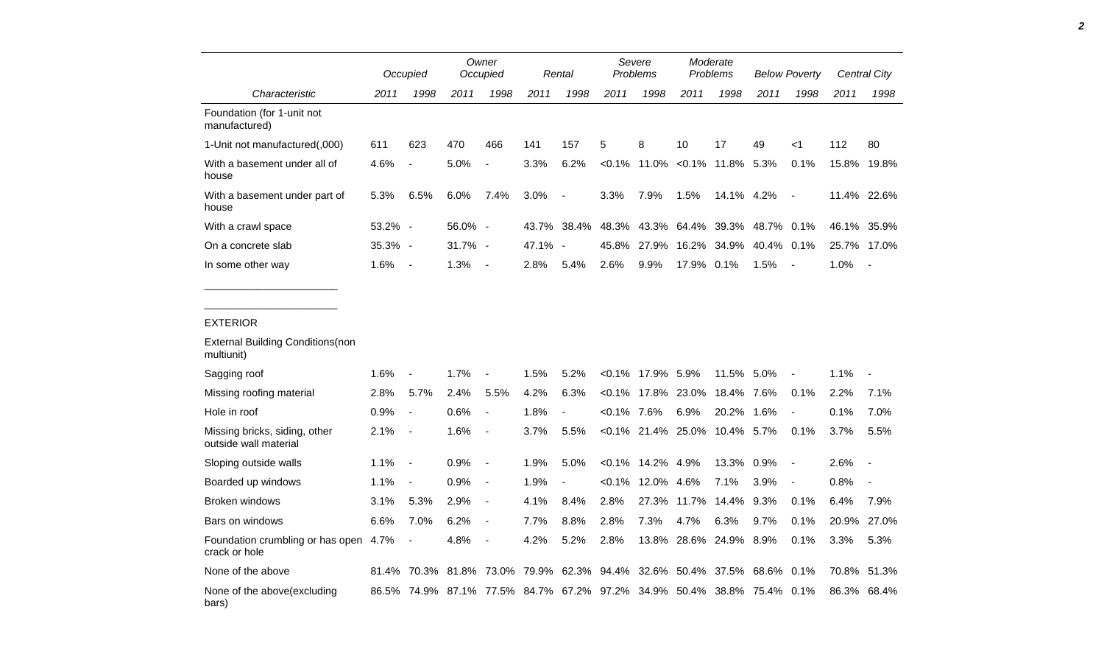|                                                        |         | Occupied                 |         | Owner<br>Occupied             |         | Rental                   | Severe<br>Problems |                 | Moderate<br>Problems |            | <b>Below Poverty</b> |                          | Central City |                          |
|--------------------------------------------------------|---------|--------------------------|---------|-------------------------------|---------|--------------------------|--------------------|-----------------|----------------------|------------|----------------------|--------------------------|--------------|--------------------------|
| Characteristic                                         | 2011    | 1998                     | 2011    | 1998                          | 2011    | 1998                     | 2011               | 1998            | 2011                 | 1998       | 2011                 | 1998                     | 2011         | 1998                     |
| Foundation (for 1-unit not<br>manufactured)            |         |                          |         |                               |         |                          |                    |                 |                      |            |                      |                          |              |                          |
| 1-Unit not manufactured(,000)                          | 611     | 623                      | 470     | 466                           | 141     | 157                      | 5                  | 8               | 10                   | 17         | 49                   | <1                       | 112          | 80                       |
| With a basement under all of<br>house                  | 4.6%    | $\blacksquare$           | 5.0%    |                               | 3.3%    | 6.2%                     | $< 0.1\%$          | 11.0%           | $< 0.1\%$            | 11.8% 5.3% |                      | 0.1%                     | 15.8%        | 19.8%                    |
| With a basement under part of<br>house                 | 5.3%    | 6.5%                     | 6.0%    | 7.4%                          | 3.0%    | $\overline{\phantom{a}}$ | 3.3%               | 7.9%            | 1.5%                 | 14.1% 4.2% |                      | $\overline{\phantom{a}}$ |              | 11.4% 22.6%              |
| With a crawl space                                     | 53.2% - |                          | 56.0% - |                               | 43.7%   | 38.4%                    | 48.3%              | 43.3%           | 64.4%                | 39.3%      | 48.7% 0.1%           |                          |              | 46.1% 35.9%              |
| On a concrete slab                                     | 35.3% - |                          | 31.7% - |                               | 47.1% - |                          | 45.8%              | 27.9%           | 16.2%                | 34.9%      | 40.4%                | 0.1%                     | 25.7%        | 17.0%                    |
| In some other way                                      | 1.6%    | $\overline{\phantom{a}}$ | 1.3%    | $\overline{\phantom{a}}$      | 2.8%    | 5.4%                     | 2.6%               | 9.9%            | 17.9% 0.1%           |            | 1.5%                 | $\overline{\phantom{a}}$ | 1.0%         | $\overline{\phantom{a}}$ |
|                                                        |         |                          |         |                               |         |                          |                    |                 |                      |            |                      |                          |              |                          |
| <b>EXTERIOR</b>                                        |         |                          |         |                               |         |                          |                    |                 |                      |            |                      |                          |              |                          |
| <b>External Building Conditions (non</b><br>multiunit) |         |                          |         |                               |         |                          |                    |                 |                      |            |                      |                          |              |                          |
| Sagging roof                                           | 1.6%    | $\overline{a}$           | 1.7%    |                               | 1.5%    | 5.2%                     | $< 0.1\%$          | 17.9%           | 5.9%                 | 11.5%      | 5.0%                 |                          | 1.1%         |                          |
| Missing roofing material                               | 2.8%    | 5.7%                     | 2.4%    | 5.5%                          | 4.2%    | 6.3%                     | $< 0.1\%$          | 17.8%           | 23.0%                | 18.4%      | 7.6%                 | 0.1%                     | 2.2%         | 7.1%                     |
| Hole in roof                                           | 0.9%    | $\blacksquare$           | 0.6%    | $\blacksquare$                | 1.8%    |                          | $<0.1\%$ 7.6%      |                 | 6.9%                 | 20.2%      | 1.6%                 | $\blacksquare$           | 0.1%         | 7.0%                     |
| Missing bricks, siding, other<br>outside wall material | 2.1%    | $\overline{\phantom{a}}$ | 1.6%    | $\blacksquare$                | 3.7%    | 5.5%                     |                    | $< 0.1\%$ 21.4% | 25.0%                | 10.4% 5.7% |                      | 0.1%                     | 3.7%         | 5.5%                     |
| Sloping outside walls                                  | 1.1%    | $\overline{\phantom{a}}$ | 0.9%    | $\overline{\phantom{a}}$      | 1.9%    | 5.0%                     | $<0.1\%$           | 14.2%           | 4.9%                 | 13.3%      | 0.9%                 | $\overline{\phantom{a}}$ | 2.6%         |                          |
| Boarded up windows                                     | 1.1%    | $\overline{\phantom{a}}$ | 0.9%    | $\overline{\phantom{a}}$      | 1.9%    |                          | $< 0.1\%$          | 12.0%           | 4.6%                 | 7.1%       | 3.9%                 | $\blacksquare$           | 0.8%         |                          |
| Broken windows                                         | 3.1%    | 5.3%                     | 2.9%    | $\overline{\phantom{a}}$      | 4.1%    | 8.4%                     | 2.8%               | 27.3%           | 11.7%                | 14.4%      | 9.3%                 | 0.1%                     | 6.4%         | 7.9%                     |
| Bars on windows                                        | 6.6%    | 7.0%                     | 6.2%    | $\overline{\phantom{a}}$      | 7.7%    | 8.8%                     | 2.8%               | 7.3%            | 4.7%                 | 6.3%       | 9.7%                 | 0.1%                     | 20.9%        | 27.0%                    |
| Foundation crumbling or has open<br>crack or hole      | 4.7%    | $\overline{\phantom{a}}$ | 4.8%    |                               | 4.2%    | 5.2%                     | 2.8%               | 13.8%           | 28.6%                | 24.9% 8.9% |                      | 0.1%                     | 3.3%         | 5.3%                     |
| None of the above                                      | 81.4%   | 70.3%                    | 81.8%   | 73.0%                         | 79.9%   | 62.3%                    | 94.4%              | 32.6%           | 50.4%                | 37.5%      | 68.6%                | 0.1%                     | 70.8%        | 51.3%                    |
| None of the above (excluding<br>bars)                  |         | 86.5% 74.9%              |         | 87.1% 77.5% 84.7% 67.2% 97.2% |         |                          |                    |                 | 34.9% 50.4% 38.8%    |            | 75.4% 0.1%           |                          | 86.3%        | 68.4%                    |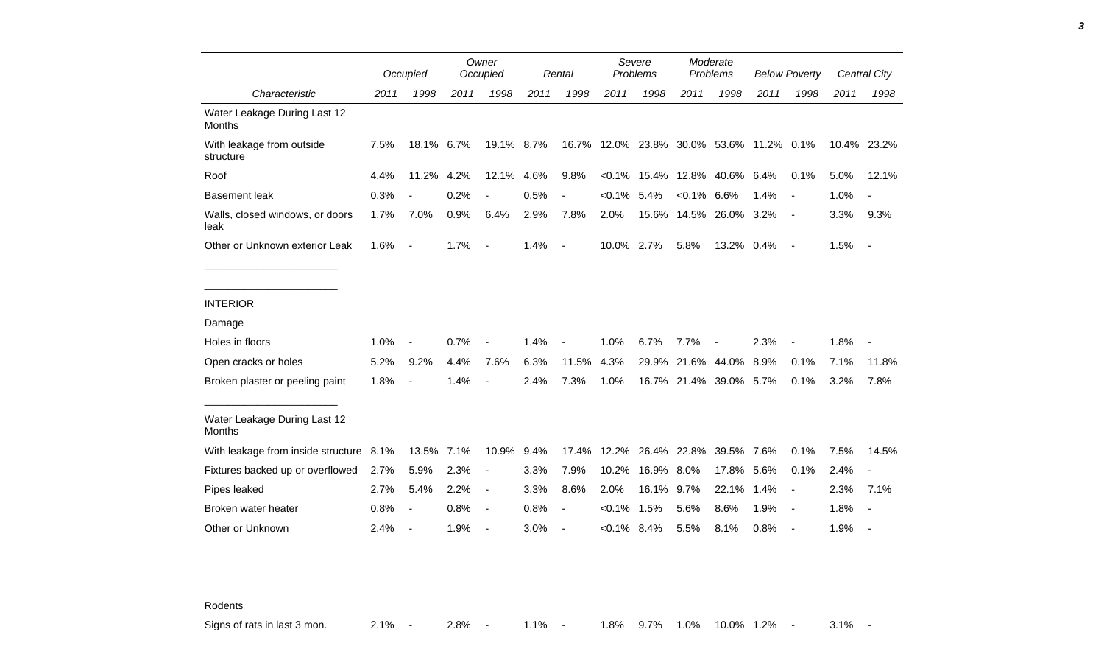|                                               |      | Occupied                 |      | Owner<br>Occupied        |      | Rental                   | Severe<br><b>Problems</b>                |                              | Moderate<br>Problems |                        | <b>Below Poverty</b> |                |      | Central City                 |
|-----------------------------------------------|------|--------------------------|------|--------------------------|------|--------------------------|------------------------------------------|------------------------------|----------------------|------------------------|----------------------|----------------|------|------------------------------|
| Characteristic                                | 2011 | 1998                     | 2011 | 1998                     | 2011 | 1998                     | 2011                                     | 1998                         | 2011                 | 1998                   | 2011                 | 1998           | 2011 | 1998                         |
| Water Leakage During Last 12<br><b>Months</b> |      |                          |      |                          |      |                          |                                          |                              |                      |                        |                      |                |      |                              |
| With leakage from outside<br>structure        | 7.5% | 18.1%                    | 6.7% | 19.1% 8.7%               |      |                          | 16.7% 12.0% 23.8% 30.0% 53.6% 11.2% 0.1% |                              |                      |                        |                      |                |      | 10.4% 23.2%                  |
| Roof                                          | 4.4% | 11.2%                    | 4.2% | 12.1%                    | 4.6% | 9.8%                     |                                          | <0.1% 15.4% 12.8% 40.6% 6.4% |                      |                        |                      | 0.1%           | 5.0% | 12.1%                        |
| <b>Basement leak</b>                          | 0.3% |                          | 0.2% |                          | 0.5% | $\overline{\phantom{a}}$ | $< 0.1\%$ 5.4%                           |                              | $< 0.1\%$ 6.6%       |                        | 1.4%                 | $\blacksquare$ | 1.0% | $\qquad \qquad \blacksquare$ |
| Walls, closed windows, or doors<br>leak       | 1.7% | 7.0%                     | 0.9% | 6.4%                     | 2.9% | 7.8%                     | 2.0%                                     |                              |                      | 15.6% 14.5% 26.0% 3.2% |                      | $\blacksquare$ | 3.3% | 9.3%                         |
| Other or Unknown exterior Leak                | 1.6% | $\overline{\phantom{a}}$ | 1.7% | $\overline{\phantom{a}}$ | 1.4% | $\blacksquare$           | 10.0% 2.7%                               |                              | 5.8%                 | 13.2% 0.4%             |                      | $\blacksquare$ | 1.5% | $\blacksquare$               |
|                                               |      |                          |      |                          |      |                          |                                          |                              |                      |                        |                      |                |      |                              |
| <b>INTERIOR</b>                               |      |                          |      |                          |      |                          |                                          |                              |                      |                        |                      |                |      |                              |
| Damage                                        |      |                          |      |                          |      |                          |                                          |                              |                      |                        |                      |                |      |                              |
| Holes in floors                               | 1.0% |                          | 0.7% |                          | 1.4% |                          | 1.0%                                     | 6.7%                         | 7.7%                 |                        | 2.3%                 |                | 1.8% |                              |
| Open cracks or holes                          | 5.2% | 9.2%                     | 4.4% | 7.6%                     | 6.3% | 11.5%                    | 4.3%                                     |                              | 29.9% 21.6% 44.0%    |                        | 8.9%                 | 0.1%           | 7.1% | 11.8%                        |
| Broken plaster or peeling paint               | 1.8% | $\blacksquare$           | 1.4% |                          | 2.4% | 7.3%                     | 1.0%                                     |                              |                      | 16.7% 21.4% 39.0% 5.7% |                      | 0.1%           | 3.2% | 7.8%                         |
| Water Leakage During Last 12<br><b>Months</b> |      |                          |      |                          |      |                          |                                          |                              |                      |                        |                      |                |      |                              |
| With leakage from inside structure            | 8.1% | 13.5%                    | 7.1% | 10.9%                    | 9.4% | 17.4%                    |                                          | 12.2% 26.4% 22.8%            |                      | 39.5% 7.6%             |                      | 0.1%           | 7.5% | 14.5%                        |
| Fixtures backed up or overflowed              | 2.7% | 5.9%                     | 2.3% |                          | 3.3% | 7.9%                     | 10.2%                                    | 16.9%                        | 8.0%                 | 17.8%                  | 5.6%                 | 0.1%           | 2.4% | $\blacksquare$               |
| Pipes leaked                                  | 2.7% | 5.4%                     | 2.2% | $\overline{\phantom{a}}$ | 3.3% | 8.6%                     | 2.0%                                     | 16.1%                        | 9.7%                 | 22.1%                  | 1.4%                 | $\blacksquare$ | 2.3% | 7.1%                         |
| Broken water heater                           | 0.8% | $\overline{a}$           | 0.8% | $\overline{\phantom{a}}$ | 0.8% | $\overline{\phantom{a}}$ | $< 0.1\%$                                | 1.5%                         | 5.6%                 | 8.6%                   | 1.9%                 |                | 1.8% | $\overline{\phantom{a}}$     |
| Other or Unknown                              | 2.4% |                          | 1.9% |                          | 3.0% | $\overline{\phantom{a}}$ | $< 0.1\%$ 8.4%                           |                              | 5.5%                 | 8.1%                   | 0.8%                 |                | 1.9% |                              |

Rodents

Signs of rats in last 3 mon. 2.1% - 2.8% - 1.1% - 1.8% 9.7% 1.0% 10.0% 1.2% - 3.1% -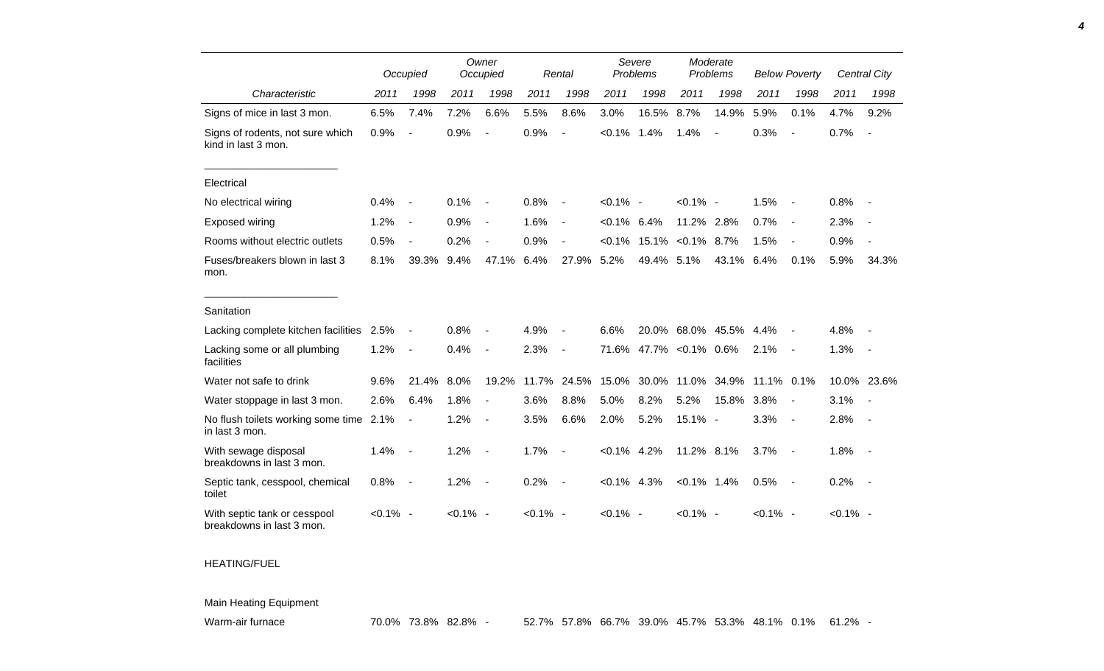|                                                           |             | Occupied                 |             | Owner<br>Occupied        |             | Rental                   | Severe<br>Problems |       | Moderate<br>Problems |       | <b>Below Poverty</b> |                          |             | Central City             |
|-----------------------------------------------------------|-------------|--------------------------|-------------|--------------------------|-------------|--------------------------|--------------------|-------|----------------------|-------|----------------------|--------------------------|-------------|--------------------------|
| Characteristic                                            | 2011        | 1998                     | 2011        | 1998                     | 2011        | 1998                     | 2011               | 1998  | 2011                 | 1998  | 2011                 | 1998                     | 2011        | 1998                     |
| Signs of mice in last 3 mon.                              | 6.5%        | 7.4%                     | 7.2%        | 6.6%                     | 5.5%        | 8.6%                     | 3.0%               | 16.5% | 8.7%                 | 14.9% | 5.9%                 | 0.1%                     | 4.7%        | 9.2%                     |
| Signs of rodents, not sure which<br>kind in last 3 mon.   | 0.9%        |                          | 0.9%        |                          | 0.9%        | $\overline{a}$           | $< 0.1\%$          | 1.4%  | 1.4%                 |       | 0.3%                 |                          | 0.7%        |                          |
| Electrical                                                |             |                          |             |                          |             |                          |                    |       |                      |       |                      |                          |             |                          |
| No electrical wiring                                      | 0.4%        | $\overline{\phantom{a}}$ | 0.1%        |                          | 0.8%        | $\blacksquare$           | $< 0.1\%$ -        |       | $< 0.1\%$ -          |       | 1.5%                 |                          | 0.8%        |                          |
| Exposed wiring                                            | 1.2%        | $\overline{\phantom{a}}$ | 0.9%        | $\overline{\phantom{a}}$ | 1.6%        | $\blacksquare$           | $< 0.1\%$ 6.4%     |       | 11.2%                | 2.8%  | 0.7%                 | $\overline{\phantom{a}}$ | 2.3%        |                          |
| Rooms without electric outlets                            | 0.5%        | $\overline{\phantom{a}}$ | 0.2%        |                          | 0.9%        | $\blacksquare$           | $<0.1\%$           | 15.1% | $< 0.1\%$            | 8.7%  | 1.5%                 |                          | 0.9%        |                          |
| Fuses/breakers blown in last 3<br>mon.                    | 8.1%        | 39.3%                    | 9.4%        | 47.1%                    | 6.4%        | 27.9%                    | 5.2%               | 49.4% | 5.1%                 | 43.1% | 6.4%                 | 0.1%                     | 5.9%        | 34.3%                    |
| Sanitation                                                |             |                          |             |                          |             |                          |                    |       |                      |       |                      |                          |             |                          |
| Lacking complete kitchen facilities                       | 2.5%        | $\blacksquare$           | 0.8%        |                          | 4.9%        |                          | 6.6%               |       | 20.0% 68.0% 45.5%    |       | $4.4\%$              |                          | 4.8%        |                          |
| Lacking some or all plumbing<br>facilities                | 1.2%        | $\overline{\phantom{a}}$ | 0.4%        |                          | 2.3%        | $\overline{\phantom{a}}$ | 71.6%              |       | 47.7% < 0.1% 0.6%    |       | 2.1%                 | $\sim$                   | 1.3%        | $\sim$                   |
| Water not safe to drink                                   | 9.6%        | 21.4%                    | 8.0%        | 19.2%                    | 11.7%       | 24.5%                    | 15.0%              | 30.0% | 11.0%                | 34.9% | 11.1% 0.1%           |                          |             | 10.0% 23.6%              |
| Water stoppage in last 3 mon.                             | 2.6%        | 6.4%                     | 1.8%        | $\blacksquare$           | 3.6%        | 8.8%                     | 5.0%               | 8.2%  | 5.2%                 | 15.8% | 3.8%                 | $\overline{\phantom{a}}$ | 3.1%        | $\overline{\phantom{a}}$ |
| No flush toilets working some time 2.1%<br>in last 3 mon. |             | $\blacksquare$           | 1.2%        |                          | 3.5%        | 6.6%                     | 2.0%               | 5.2%  | 15.1% -              |       | 3.3%                 | $\sim$                   | 2.8%        |                          |
| With sewage disposal<br>breakdowns in last 3 mon.         | 1.4%        | $\overline{\phantom{a}}$ | 1.2%        | $\overline{\phantom{a}}$ | 1.7%        | $\overline{\phantom{a}}$ | $< 0.1\%$ 4.2%     |       | 11.2% 8.1%           |       | 3.7%                 | $\sim$                   | 1.8%        | $\sim$                   |
| Septic tank, cesspool, chemical<br>toilet                 | 0.8%        | $\overline{\phantom{a}}$ | 1.2%        | $\overline{\phantom{a}}$ | 0.2%        | $\overline{\phantom{a}}$ | $< 0.1\%$ 4.3%     |       | $< 0.1\%$ 1.4%       |       | 0.5%                 | $\sim$                   | 0.2%        | $\sim$ $-$               |
| With septic tank or cesspool<br>breakdowns in last 3 mon. | $< 0.1\%$ - |                          | $< 0.1\%$ - |                          | $< 0.1\%$ - |                          | $< 0.1\%$ -        |       | $< 0.1\%$ -          |       | $< 0.1\%$ -          |                          | $< 0.1\%$ - |                          |

## HEATING/FUEL

Main Heating Equipment

Warm-air furnace **70.0% 73.8% 82.8% - 52.7% 57.8% 66.7% 39.0% 45.7% 53.3% 48.1% 0.1% 61.2% -**

*4*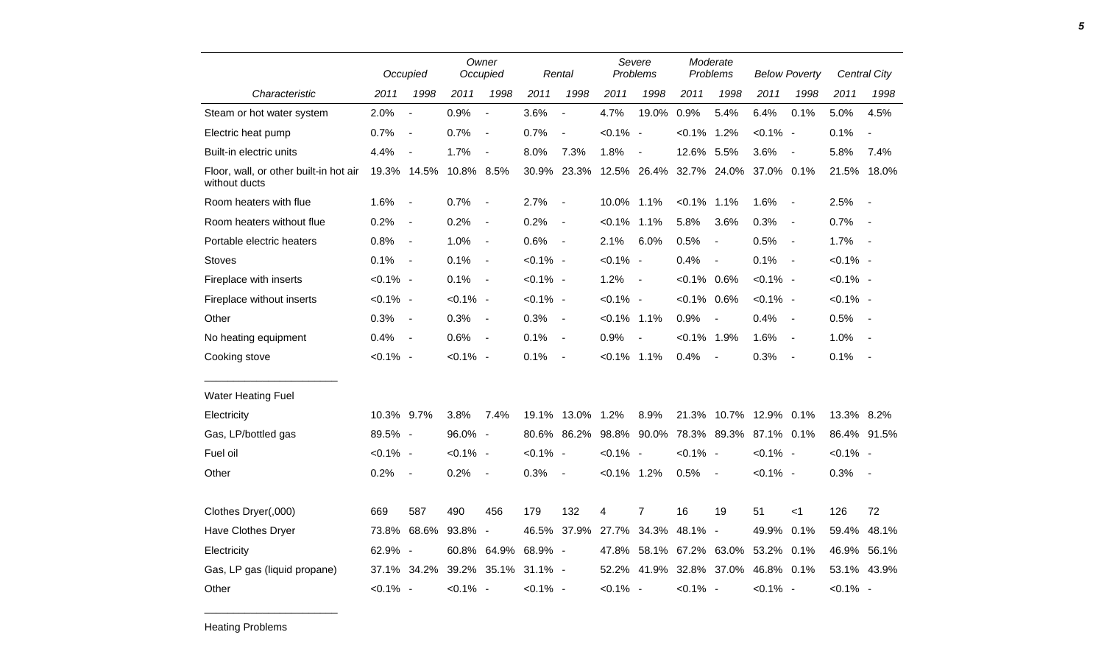|                                                         |             | Occupied       |             | Owner<br>Occupied        |                     | Rental                   |                                                | Severe<br>Problems       | Moderate<br>Problems |                                    | <b>Below Poverty</b> |                          |             | Central City             |
|---------------------------------------------------------|-------------|----------------|-------------|--------------------------|---------------------|--------------------------|------------------------------------------------|--------------------------|----------------------|------------------------------------|----------------------|--------------------------|-------------|--------------------------|
| Characteristic                                          | 2011        | 1998           | 2011        | 1998                     | 2011                | 1998                     | 2011                                           | 1998                     | 2011                 | 1998                               | 2011                 | 1998                     | 2011        | 1998                     |
| Steam or hot water system                               | 2.0%        | $\blacksquare$ | 0.9%        | $\overline{\phantom{a}}$ | 3.6%                | $\blacksquare$           | 4.7%                                           | 19.0%                    | 0.9%                 | 5.4%                               | 6.4%                 | 0.1%                     | 5.0%        | 4.5%                     |
| Electric heat pump                                      | 0.7%        | $\sim$         | 0.7%        | $\overline{\phantom{a}}$ | 0.7%                | $\blacksquare$           | $< 0.1\%$ -                                    |                          | $< 0.1\%$ 1.2%       |                                    | $< 0.1\%$ -          |                          | 0.1%        | $\overline{\phantom{a}}$ |
| Built-in electric units                                 | 4.4%        | $\blacksquare$ | 1.7%        | $\blacksquare$           | 8.0%                | 7.3%                     | 1.8%                                           | $\blacksquare$           | 12.6% 5.5%           |                                    | 3.6%                 | $\blacksquare$           | 5.8%        | 7.4%                     |
| Floor, wall, or other built-in hot air<br>without ducts |             | 19.3% 14.5%    | 10.8% 8.5%  |                          | 30.9%               | 23.3%                    | 12.5% 26.4% 32.7% 24.0%                        |                          |                      |                                    | 37.0% 0.1%           |                          | 21.5% 18.0% |                          |
| Room heaters with flue                                  | 1.6%        | $\sim$         | 0.7%        | $\overline{\phantom{a}}$ | 2.7%                | $\blacksquare$           | 10.0% 1.1%                                     |                          | $< 0.1\%$ 1.1%       |                                    | 1.6%                 | $\blacksquare$           | 2.5%        | $\sim$                   |
| Room heaters without flue                               | 0.2%        | $\sim$         | 0.2%        | $\overline{\phantom{a}}$ | 0.2%                | $\blacksquare$           | $< 0.1\%$ 1.1%                                 |                          | 5.8%                 | 3.6%                               | 0.3%                 | $\overline{\phantom{a}}$ | 0.7%        | $\sim$                   |
| Portable electric heaters                               | 0.8%        | $\sim$         | 1.0%        | $\blacksquare$           | 0.6%                | $\blacksquare$           | 2.1%                                           | 6.0%                     | 0.5%                 | $\blacksquare$                     | 0.5%                 | $\blacksquare$           | 1.7%        | $\sim$ $-$               |
| <b>Stoves</b>                                           | 0.1%        | $\sim$         | 0.1%        | $\sim$                   | $< 0.1\%$ -         |                          | $< 0.1\%$ -                                    |                          | 0.4%                 | $\overline{\phantom{a}}$           | 0.1%                 | $\blacksquare$           | $< 0.1\%$ - |                          |
| Fireplace with inserts                                  | $< 0.1\%$ - |                | 0.1%        | $\sim$                   | $< 0.1\%$ -         |                          | 1.2%                                           | $\overline{\phantom{a}}$ | $< 0.1\%$ 0.6%       |                                    | $< 0.1\%$ -          |                          | $< 0.1\%$ - |                          |
| Fireplace without inserts                               | $< 0.1\%$ - |                | $< 0.1\%$ - |                          | $< 0.1\%$ -         |                          | $< 0.1\%$ -                                    |                          | $< 0.1\%$ 0.6%       |                                    | $< 0.1\%$ -          |                          | $< 0.1\%$ - |                          |
| Other                                                   | 0.3%        | $\sim$ $-$     | 0.3%        | $\sim$                   | 0.3%                | $\sim$                   | $< 0.1\%$ 1.1%                                 |                          | 0.9%                 | $\overline{\phantom{a}}$           | 0.4%                 | $\blacksquare$           | 0.5%        | $\sim$                   |
| No heating equipment                                    | 0.4%        | $\sim$ $-$     | 0.6%        | $\sim$ $-$               | 0.1%                | $\overline{\phantom{a}}$ | 0.9%                                           | $\overline{\phantom{a}}$ | $< 0.1\%$ 1.9%       |                                    | 1.6%                 | $\blacksquare$           | 1.0%        | $\sim$                   |
| Cooking stove                                           | $< 0.1\%$ - |                | $< 0.1\%$ - |                          | 0.1%                | $\blacksquare$           | $< 0.1\%$ 1.1%                                 |                          | 0.4%                 | $\overline{\phantom{a}}$           | 0.3%                 | $\overline{\phantom{a}}$ | 0.1%        | $\sim$                   |
| <b>Water Heating Fuel</b>                               |             |                |             |                          |                     |                          |                                                |                          |                      |                                    |                      |                          |             |                          |
| Electricity                                             | 10.3% 9.7%  |                | 3.8%        | 7.4%                     |                     | 19.1% 13.0% 1.2%         |                                                | 8.9%                     |                      | 21.3% 10.7% 12.9% 0.1%             |                      |                          | 13.3% 8.2%  |                          |
| Gas, LP/bottled gas                                     | 89.5% -     |                | 96.0% -     |                          |                     |                          | 80.6% 86.2% 98.8% 90.0% 78.3% 89.3% 87.1% 0.1% |                          |                      |                                    |                      |                          | 86.4% 91.5% |                          |
| Fuel oil                                                | $< 0.1\%$ - |                | $< 0.1\%$ - |                          | $< 0.1\%$ -         |                          | $< 0.1\%$ -                                    |                          | $< 0.1\%$ -          |                                    | $< 0.1\%$ -          |                          | $< 0.1\%$ - |                          |
| Other                                                   | 0.2%        | $\sim$         | 0.2%        | $\overline{\phantom{a}}$ | 0.3%                | $\overline{\phantom{a}}$ | $< 0.1\%$ 1.2%                                 |                          | 0.5%                 | $\blacksquare$                     | $< 0.1\%$ -          |                          | 0.3%        | $\sim$                   |
| Clothes Dryer(,000)                                     | 669         | 587            | 490         | 456                      | 179                 | 132                      | 4                                              | $\overline{7}$           | 16                   | 19                                 | 51                   | $<$ 1                    | 126         | 72                       |
| Have Clothes Dryer                                      |             | 73.8% 68.6%    | 93.8% -     |                          |                     | 46.5% 37.9%              | 27.7%                                          |                          | 34.3% 48.1% -        |                                    | 49.9%                | 0.1%                     | 59.4%       | 48.1%                    |
| Electricity                                             | 62.9% -     |                |             | 60.8% 64.9%              | 68.9% -             |                          |                                                |                          |                      | 47.8% 58.1% 67.2% 63.0% 53.2% 0.1% |                      |                          |             | 46.9% 56.1%              |
| Gas, LP gas (liquid propane)                            |             | 37.1% 34.2%    |             |                          | 39.2% 35.1% 31.1% - |                          |                                                |                          |                      | 52.2% 41.9% 32.8% 37.0%            | 46.8% 0.1%           |                          | 53.1% 43.9% |                          |
| Other                                                   | $< 0.1\%$ - |                | $< 0.1\%$ - |                          | $< 0.1\%$ -         |                          | $< 0.1\%$ -                                    |                          | $< 0.1\%$ -          |                                    | $< 0.1\%$ -          |                          | $< 0.1\%$ - |                          |

Heating Problems

\_\_\_\_\_\_\_\_\_\_\_\_\_\_\_\_\_\_\_\_\_\_\_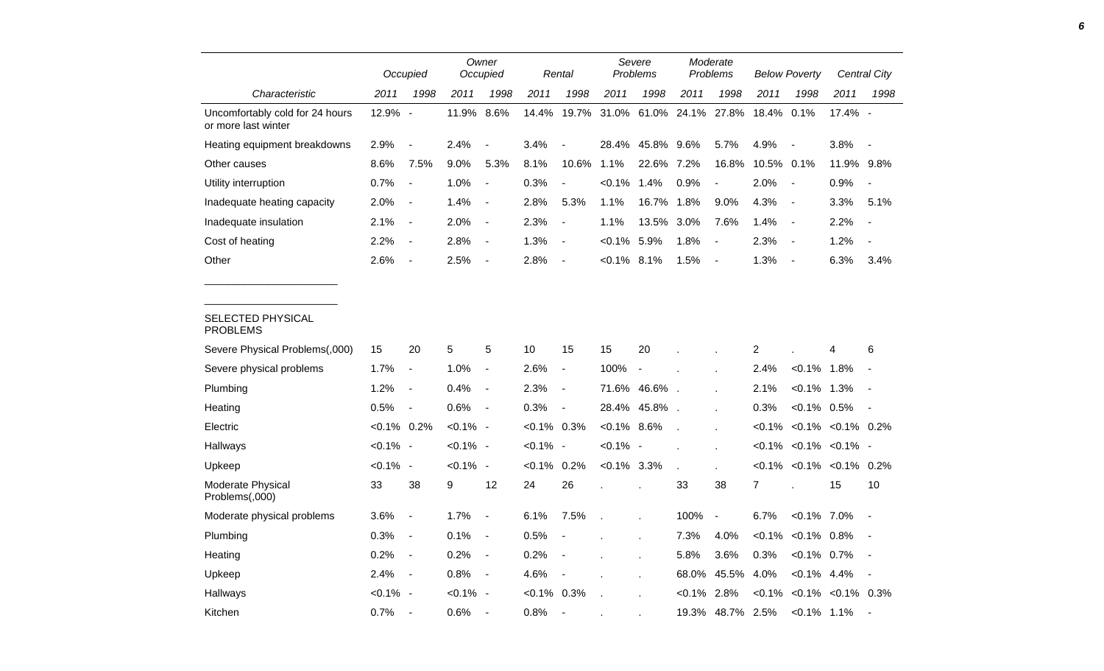|                                                        |                | Occupied                 |             | Owner<br>Occupied        |                | Rental                   | Severe<br>Problems                             |                  |              | Moderate<br>Problems | <b>Below Poverty</b> |                          | Central City                                      |                          |
|--------------------------------------------------------|----------------|--------------------------|-------------|--------------------------|----------------|--------------------------|------------------------------------------------|------------------|--------------|----------------------|----------------------|--------------------------|---------------------------------------------------|--------------------------|
| Characteristic                                         | 2011           | 1998                     | 2011        | 1998                     | 2011           | 1998                     | 2011                                           | 1998             | 2011         | 1998                 | 2011                 | 1998                     | 2011                                              | 1998                     |
| Uncomfortably cold for 24 hours<br>or more last winter | 12.9% -        |                          | 11.9% 8.6%  |                          |                |                          | 14.4% 19.7% 31.0% 61.0% 24.1% 27.8% 18.4% 0.1% |                  |              |                      |                      |                          | 17.4% -                                           |                          |
| Heating equipment breakdowns                           | 2.9%           | $\overline{\phantom{a}}$ | 2.4%        | $\overline{\phantom{a}}$ | 3.4%           | $\overline{\phantom{a}}$ |                                                | 28.4% 45.8% 9.6% |              | 5.7%                 | 4.9%                 | $\blacksquare$           | 3.8%                                              | $\sim$                   |
| Other causes                                           | 8.6%           | 7.5%                     | 9.0%        | 5.3%                     | 8.1%           | 10.6%                    | 1.1%                                           | 22.6% 7.2%       |              | 16.8%                | 10.5% 0.1%           |                          | 11.9% 9.8%                                        |                          |
| Utility interruption                                   | 0.7%           | $\overline{\phantom{a}}$ | 1.0%        | $\sim$                   | 0.3%           | $\overline{\phantom{a}}$ | $< 0.1\%$                                      | 1.4%             | 0.9%         | $\blacksquare$       | 2.0%                 | $\overline{\phantom{a}}$ | 0.9%                                              | $\sim$                   |
| Inadequate heating capacity                            | 2.0%           | $\blacksquare$           | 1.4%        | $\sim$ $-$               | 2.8%           | 5.3%                     | 1.1%                                           | 16.7% 1.8%       |              | 9.0%                 | 4.3%                 | $\blacksquare$           | 3.3%                                              | 5.1%                     |
| Inadequate insulation                                  | 2.1%           | $\blacksquare$           | 2.0%        | $\sim$                   | 2.3%           | $\overline{\phantom{a}}$ | 1.1%                                           | 13.5% 3.0%       |              | 7.6%                 | 1.4%                 | $\blacksquare$           | 2.2%                                              | $\overline{\phantom{a}}$ |
| Cost of heating                                        | 2.2%           | $\blacksquare$           | 2.8%        | $\sim$                   | 1.3%           | $\overline{\phantom{a}}$ | $< 0.1\%$ 5.9%                                 |                  | 1.8%         | $\blacksquare$       | 2.3%                 | $\blacksquare$           | 1.2%                                              |                          |
| Other                                                  | 2.6%           | $\blacksquare$           | 2.5%        | $\sim$ $-$               | 2.8%           | $\blacksquare$           | $< 0.1\%$ 8.1%                                 |                  | 1.5%         | $\blacksquare$       | 1.3%                 | $\overline{\phantom{a}}$ | 6.3%                                              | 3.4%                     |
| SELECTED PHYSICAL<br><b>PROBLEMS</b>                   |                |                          |             |                          |                |                          |                                                |                  |              |                      |                      |                          |                                                   |                          |
| Severe Physical Problems(,000)                         | 15             | 20                       | 5           | 5                        | 10             | 15                       | 15                                             | 20               |              |                      | $\overline{2}$       |                          | 4                                                 | 6                        |
| Severe physical problems                               | 1.7%           | $\blacksquare$           | 1.0%        | $\sim$                   | 2.6%           | $\blacksquare$           | 100%                                           | $\sim$ $-$       |              |                      | 2.4%                 | $< 0.1\%$ 1.8%           |                                                   |                          |
| Plumbing                                               | 1.2%           | $\blacksquare$           | 0.4%        | $\sim$ $-$               | 2.3%           | $\overline{\phantom{a}}$ |                                                | 71.6% 46.6%.     |              |                      | 2.1%                 | $< 0.1\%$ 1.3%           |                                                   | $\sim$ $-$               |
| Heating                                                | 0.5%           | $\overline{\phantom{a}}$ | 0.6%        | $\sim$ $-$               | 0.3%           | $\overline{\phantom{a}}$ |                                                | 28.4% 45.8%.     |              |                      | 0.3%                 | $< 0.1\%$ 0.5%           |                                                   | $\sim$ $-$               |
| Electric                                               | $< 0.1\%$ 0.2% |                          | $< 0.1\%$ - |                          | $<0.1\%$ 0.3%  |                          | $< 0.1\%$ 8.6%                                 |                  | $\mathbf{r}$ |                      |                      |                          | $< 0.1\%$ < 0.1% < 0.1% 0.2%                      |                          |
| Hallways                                               | $< 0.1\%$ -    |                          | $< 0.1\%$ - |                          | $< 0.1\%$ -    |                          | $< 0.1\%$ -                                    |                  |              |                      |                      |                          | $< 0.1\%$ $< 0.1\%$ $< 0.1\%$ -                   |                          |
| Upkeep                                                 | $< 0.1\%$ -    |                          | $< 0.1\%$ - |                          | $< 0.1\%$ 0.2% |                          | $< 0.1\%$ 3.3%                                 |                  | $\mathbf{r}$ |                      |                      |                          | $< 0.1\%$ $< 0.1\%$ $< 0.1\%$ 0.2%                |                          |
| Moderate Physical<br>Problems(,000)                    | 33             | 38                       | 9           | 12                       | 24             | 26                       |                                                |                  | 33           | 38                   | $\overline{7}$       |                          | 15                                                | 10                       |
| Moderate physical problems                             | 3.6%           |                          | 1.7%        | $\sim$                   | 6.1%           | 7.5%                     |                                                |                  | 100% -       |                      | 6.7%                 | $< 0.1\%$ 7.0%           |                                                   |                          |
| Plumbing                                               | 0.3%           |                          | 0.1%        | $\sim$                   | 0.5%           |                          |                                                |                  | 7.3% 4.0%    |                      |                      | $< 0.1\%$ $< 0.1\%$ 0.8% |                                                   |                          |
| Heating                                                | $0.2\%$ -      |                          | $0.2\%$ -   |                          | 0.2%           |                          |                                                |                  | 5.8%         | $3.6\%$              | 0.3%                 |                          | $< 0.1\%$ 0.7% -                                  |                          |
| Upkeep                                                 | $2.4\% -$      |                          | $0.8\%$ -   |                          | 4.6%           | $\sim$                   |                                                |                  |              | 68.0% 45.5% 4.0%     |                      |                          | $< 0.1\%$ 4.4% -                                  |                          |
| Hallways                                               | $< 0.1\%$ -    |                          | $< 0.1\%$ - |                          | $< 0.1\%$ 0.3% |                          |                                                |                  |              |                      |                      |                          | $< 0.1\%$ 2.8% $< 0.1\%$ $< 0.1\%$ $< 0.1\%$ 0.3% |                          |
| Kitchen                                                | $0.7\%$ -      |                          | $0.6\%$ -   |                          | $0.8\%$ -      |                          |                                                |                  |              |                      |                      |                          | 19.3% 48.7% 2.5% <0.1% 1.1% -                     |                          |